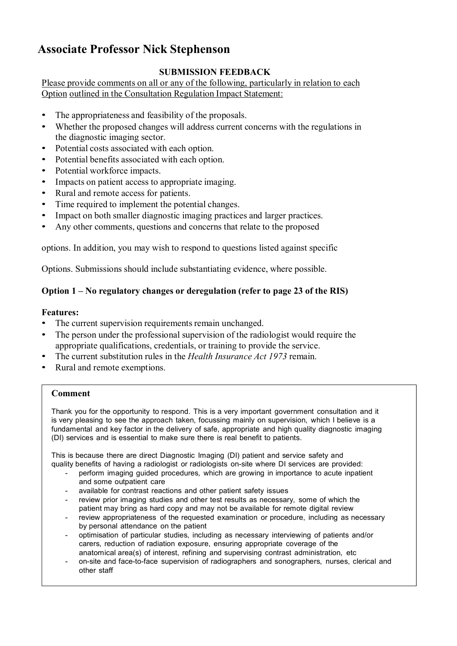# **Associate Professor Nick Stephenson**

# **SUBMISSION FEEDBACK**

Please provide comments on all or any of the following, particularly in relation to each Option outlined in the Consultation Regulation Impact Statement:

- The appropriateness and feasibility of the proposals.
- Whether the proposed changes will address current concerns with the regulations in the diagnostic imaging sector.
- Potential costs associated with each option.
- Potential benefits associated with each option.
- Potential workforce impacts.
- Impacts on patient access to appropriate imaging.
- Rural and remote access for patients.
- Time required to implement the potential changes.
- Impact on both smaller diagnostic imaging practices and larger practices.
- Any other comments, questions and concerns that relate to the proposed

options. In addition, you may wish to respond to questions listed against specific

Options. Submissions should include substantiating evidence, where possible.

# **Option 1 – No regulatory changes or deregulation (refer to page 23 of the RIS)**

# **Features:**

- The current supervision requirements remain unchanged.
- The person under the professional supervision of the radiologist would require the appropriate qualifications, credentials, or training to provide the service.
- The current substitution rules in the *Health Insurance Act 1973* remain.
- Rural and remote exemptions.

# **Comment**

Thank you for the opportunity to respond. This is a very important government consultation and it is very pleasing to see the approach taken, focussing mainly on supervision, which I believe is a fundamental and key factor in the delivery of safe, appropriate and high quality diagnostic imaging (DI) services and is essential to make sure there is real benefit to patients.

This is because there are direct Diagnostic Imaging (DI) patient and service safety and quality benefits of having a radiologist or radiologists on-site where DI services are provided:

- perform imaging guided procedures, which are growing in importance to acute inpatient and some outpatient care
- available for contrast reactions and other patient safety issues
- review prior imaging studies and other test results as necessary, some of which the patient may bring as hard copy and may not be available for remote digital review
- review appropriateness of the requested examination or procedure, including as necessary by personal attendance on the patient
- optimisation of particular studies, including as necessary interviewing of patients and/or carers, reduction of radiation exposure, ensuring appropriate coverage of the anatomical area(s) of interest, refining and supervising contrast administration, etc
- on-site and face-to-face supervision of radiographers and sonographers, nurses, clerical and other staff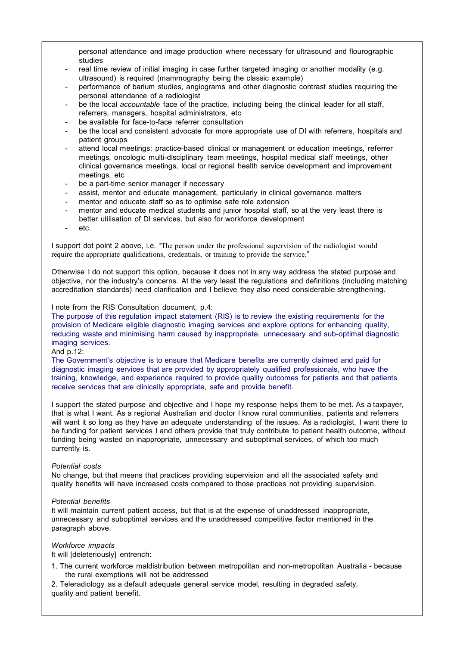personal attendance and image production where necessary for ultrasound and flourographic studies

- real time review of initial imaging in case further targeted imaging or another modality (e.g. ultrasound) is required (mammography being the classic example)
- performance of barium studies, angiograms and other diagnostic contrast studies requiring the personal attendance of a radiologist
- be the local *accountable* face of the practice, including being the clinical leader for all staff, referrers, managers, hospital administrators, etc
- be available for face-to-face referrer consultation
- be the local and consistent advocate for more appropriate use of DI with referrers, hospitals and patient groups
- attend local meetings: practice-based clinical or management or education meetings, referrer meetings, oncologic multi-disciplinary team meetings, hospital medical staff meetings, other clinical governance meetings, local or regional health service development and improvement meetings, etc
- be a part-time senior manager if necessary
- assist, mentor and educate management, particularly in clinical governance matters
- mentor and educate staff so as to optimise safe role extension
- mentor and educate medical students and junior hospital staff, so at the very least there is better utilisation of DI services, but also for workforce development
- etc.

I support dot point 2 above, i.e. "The person under the professional supervision of the radiologist would require the appropriate qualifications, credentials, or training to provide the service."

Otherwise I do not support this option, because it does not in any way address the stated purpose and objective, nor the industry's concerns. At the very least the regulations and definitions (including matching accreditation standards) need clarification and I believe they also need considerable strengthening.

I note from the RIS Consultation document, p.4:

The purpose of this regulation impact statement (RIS) is to review the existing requirements for the provision of Medicare eligible diagnostic imaging services and explore options for enhancing quality, reducing waste and minimising harm caused by inappropriate, unnecessary and sub-optimal diagnostic imaging services.

And p.12:

The Government's objective is to ensure that Medicare benefits are currently claimed and paid for diagnostic imaging services that are provided by appropriately qualified professionals, who have the training, knowledge, and experience required to provide quality outcomes for patients and that patients receive services that are clinically appropriate, safe and provide benefit.

I support the stated purpose and objective and I hope my response helps them to be met. As a taxpayer, that is what I want. As a regional Australian and doctor I know rural communities, patients and referrers will want it so long as they have an adequate understanding of the issues. As a radiologist, I want there to be funding for patient services I and others provide that truly contribute to patient health outcome, without funding being wasted on inappropriate, unnecessary and suboptimal services, of which too much currently is.

## *Potential costs*

No change, but that means that practices providing supervision and all the associated safety and quality benefits will have increased costs compared to those practices not providing supervision.

## *Potential benefits*

It will maintain current patient access, but that is at the expense of unaddressed inappropriate, unnecessary and suboptimal services and the unaddressed competitive factor mentioned in the paragraph above.

## *Workforce impacts*

It will [deleteriously] entrench:

1. The current workforce maldistribution between metropolitan and non-metropolitan Australia - because the rural exemptions will not be addressed

2. Teleradiology as a default adequate general service model, resulting in degraded safety, quality and patient benefit.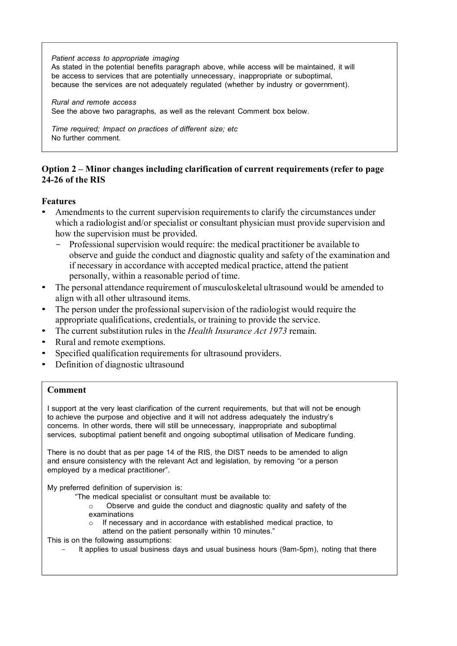*Patient access to appropriate imaging*

As stated in the potential benefits paragraph above, while access will be maintained, it will be access to services that are potentially unnecessary, inappropriate or suboptimal, because the services are not adequately regulated (whether by industry or government).

*Rural and remote access* See the above two paragraphs, as well as the relevant Comment box below.

*Time required; Impact on practices of different size; etc* No further comment.

# **Option 2 – Minor changes including clarification of current requirements (refer to page 24-26 of the RIS**

# **Features**

- Amendments to the current supervision requirements to clarify the circumstances under which a radiologist and/or specialist or consultant physician must provide supervision and how the supervision must be provided.
	- Professional supervision would require: the medical practitioner be available to observe and guide the conduct and diagnostic quality and safety of the examination and if necessary in accordance with accepted medical practice, attend the patient personally, within a reasonable period of time.
- The personal attendance requirement of musculoskeletal ultrasound would be amended to align with all other ultrasound items.
- The person under the professional supervision of the radiologist would require the appropriate qualifications, credentials, or training to provide the service.
- The current substitution rules in the *Health Insurance Act 1973* remain.
- Rural and remote exemptions.
- Specified qualification requirements for ultrasound providers.
- Definition of diagnostic ultrasound

# **Comment**

I support at the very least clarification of the current requirements, but that will not be enough to achieve the purpose and objective and it will not address adequately the industry's concerns. In other words, there will still be unnecessary, inappropriate and suboptimal services, suboptimal patient benefit and ongoing suboptimal utilisation of Medicare funding.

There is no doubt that as per page 14 of the RIS, the DIST needs to be amended to align and ensure consistency with the relevant Act and legislation, by removing "or a person employed by a medical practitioner".

My preferred definition of supervision is:

- "The medical specialist or consultant must be available to:
	- o Observe and guide the conduct and diagnostic quality and safety of the examinations
	- o If necessary and in accordance with established medical practice, to
		- attend on the patient personally within 10 minutes."

This is on the following assumptions:

It applies to usual business days and usual business hours (9am-5pm), noting that there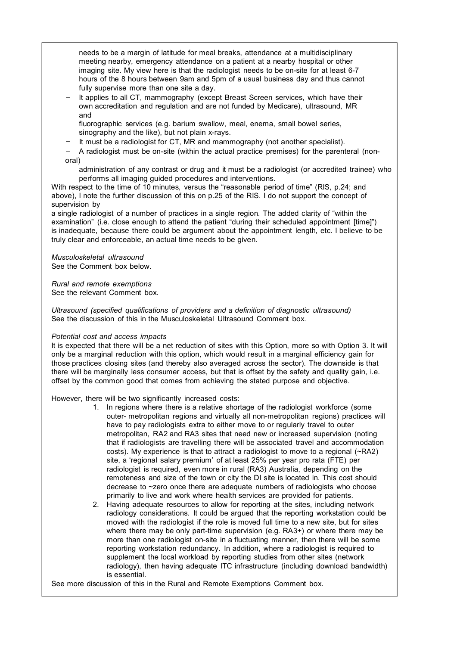needs to be a margin of latitude for meal breaks, attendance at a multidisciplinary meeting nearby, emergency attendance on a patient at a nearby hospital or other imaging site. My view here is that the radiologist needs to be on-site for at least 6-7 hours of the 8 hours between 9am and 5pm of a usual business day and thus cannot fully supervise more than one site a day.

It applies to all CT, mammography (except Breast Screen services, which have their own accreditation and regulation and are not funded by Medicare), ultrasound, MR and

fluorographic services (e.g. barium swallow, meal, enema, small bowel series, sinography and the like), but not plain x-rays.

- It must be a radiologist for CT, MR and mammography (not another specialist).
- A radiologist must be on-site (within the actual practice premises) for the parenteral (nonoral)

administration of any contrast or drug and it must be a radiologist (or accredited trainee) who performs all imaging guided procedures and interventions.

With respect to the time of 10 minutes, versus the "reasonable period of time" (RIS, p.24; and above), I note the further discussion of this on p.25 of the RIS. I do not support the concept of supervision by

a single radiologist of a number of practices in a single region. The added clarity of "within the examination" (i.e. close enough to attend the patient "during their scheduled appointment [time]") is inadequate, because there could be argument about the appointment length, etc. I believe to be truly clear and enforceable, an actual time needs to be given.

*Musculoskeletal ultrasound* See the Comment box below.

*Rural and remote exemptions* See the relevant Comment box.

*Ultrasound (specified qualifications of providers and a definition of diagnostic ultrasound)* See the discussion of this in the Musculoskeletal Ultrasound Comment box.

## *Potential cost and access impacts*

It is expected that there will be a net reduction of sites with this Option, more so with Option 3. It will only be a marginal reduction with this option, which would result in a marginal efficiency gain for those practices closing sites (and thereby also averaged across the sector). The downside is that there will be marginally less consumer access, but that is offset by the safety and quality gain, i.e. offset by the common good that comes from achieving the stated purpose and objective.

However, there will be two significantly increased costs:

- 1. In regions where there is a relative shortage of the radiologist workforce (some outer- metropolitan regions and virtually all non-metropolitan regions) practices will have to pay radiologists extra to either move to or regularly travel to outer metropolitan, RA2 and RA3 sites that need new or increased supervision (noting that if radiologists are travelling there will be associated travel and accommodation costs). My experience is that to attract a radiologist to move to a regional  $(\neg RA2)$ site, a 'regional salary premium' of at least 25% per year pro rata (FTE) per radiologist is required, even more in rural (RA3) Australia, depending on the remoteness and size of the town or city the DI site is located in. This cost should decrease to ~zero once there are adequate numbers of radiologists who choose primarily to live and work where health services are provided for patients.
- 2. Having adequate resources to allow for reporting at the sites, including network radiology considerations. It could be argued that the reporting workstation could be moved with the radiologist if the role is moved full time to a new site, but for sites where there may be only part-time supervision (e.g. RA3+) or where there may be more than one radiologist on-site in a fluctuating manner, then there will be some reporting workstation redundancy. In addition, where a radiologist is required to supplement the local workload by reporting studies from other sites (network radiology), then having adequate ITC infrastructure (including download bandwidth) is essential.

See more discussion of this in the Rural and Remote Exemptions Comment box.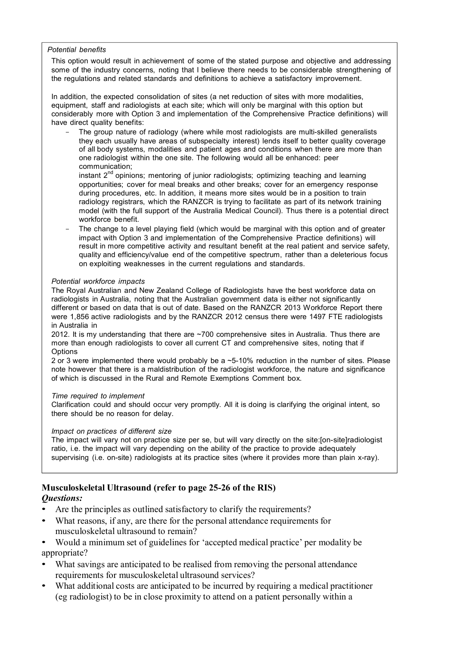## *Potential benefits*

This option would result in achievement of some of the stated purpose and objective and addressing some of the industry concerns, noting that I believe there needs to be considerable strengthening of the regulations and related standards and definitions to achieve a satisfactory improvement.

In addition, the expected consolidation of sites (a net reduction of sites with more modalities, equipment, staff and radiologists at each site; which will only be marginal with this option but considerably more with Option 3 and implementation of the Comprehensive Practice definitions) will have direct quality benefits:

The group nature of radiology (where while most radiologists are multi-skilled generalists they each usually have areas of subspecialty interest) lends itself to better quality coverage of all body systems, modalities and patient ages and conditions when there are more than one radiologist within the one site. The following would all be enhanced: peer communication;

instant  $2^{nd}$  opinions; mentoring of junior radiologists; optimizing teaching and learning opportunities; cover for meal breaks and other breaks; cover for an emergency response during procedures, etc. In addition, it means more sites would be in a position to train radiology registrars, which the RANZCR is trying to facilitate as part of its network training model (with the full support of the Australia Medical Council). Thus there is a potential direct workforce benefit.

The change to a level playing field (which would be marginal with this option and of greater impact with Option 3 and implementation of the Comprehensive Practice definitions) will result in more competitive activity and resultant benefit at the real patient and service safety, quality and efficiency/value end of the competitive spectrum, rather than a deleterious focus on exploiting weaknesses in the current regulations and standards.

## *Potential workforce impacts*

The Royal Australian and New Zealand College of Radiologists have the best workforce data on radiologists in Australia, noting that the Australian government data is either not significantly different or based on data that is out of date. Based on the RANZCR 2013 Workforce Report there were 1,856 active radiologists and by the RANZCR 2012 census there were 1497 FTE radiologists in Australia in

2012. It is my understanding that there are ~700 comprehensive sites in Australia. Thus there are more than enough radiologists to cover all current CT and comprehensive sites, noting that if **Options** 

2 or 3 were implemented there would probably be a ~5-10% reduction in the number of sites. Please note however that there is a maldistribution of the radiologist workforce, the nature and significance of which is discussed in the Rural and Remote Exemptions Comment box.

## *Time required to implement*

Clarification could and should occur very promptly. All it is doing is clarifying the original intent, so there should be no reason for delay.

## *Impact on practices of different size*

The impact will vary not on practice size per se, but will vary directly on the site:[on-site]radiologist ratio, i.e. the impact will vary depending on the ability of the practice to provide adequately supervising (i.e. on-site) radiologists at its practice sites (where it provides more than plain x-ray).

## **Musculoskeletal Ultrasound (refer to page 25-26 of the RIS)** *Questions:*

- Are the principles as outlined satisfactory to clarify the requirements?
- What reasons, if any, are there for the personal attendance requirements for musculoskeletal ultrasound to remain?

• Would a minimum set of guidelines for 'accepted medical practice' per modality be appropriate?

- What savings are anticipated to be realised from removing the personal attendance requirements for musculoskeletal ultrasound services?
- What additional costs are anticipated to be incurred by requiring a medical practitioner (eg radiologist) to be in close proximity to attend on a patient personally within a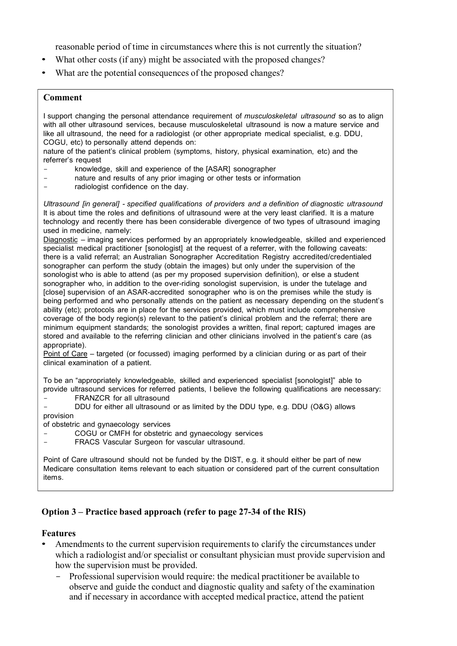reasonable period of time in circumstances where this is not currently the situation?

- What other costs (if any) might be associated with the proposed changes?
- What are the potential consequences of the proposed changes?

# **Comment**

I support changing the personal attendance requirement of *musculoskeletal ultrasound* so as to align with all other ultrasound services, because musculoskeletal ultrasound is now a mature service and like all ultrasound, the need for a radiologist (or other appropriate medical specialist, e.g. DDU, COGU, etc) to personally attend depends on:

nature of the patient's clinical problem (symptoms, history, physical examination, etc) and the referrer's request

- knowledge, skill and experience of the [ASAR] sonographer
- nature and results of any prior imaging or other tests or information
- radiologist confidence on the day.

*Ultrasound [in general] - specified qualifications of providers and a definition of diagnostic ultrasound*  It is about time the roles and definitions of ultrasound were at the very least clarified. It is a mature technology and recently there has been considerable divergence of two types of ultrasound imaging used in medicine, namely:

Diagnostic – imaging services performed by an appropriately knowledgeable, skilled and experienced specialist medical practitioner [sonologist] at the request of a referrer, with the following caveats: there is a valid referral; an Australian Sonographer Accreditation Registry accredited/credentialed sonographer can perform the study (obtain the images) but only under the supervision of the sonologist who is able to attend (as per my proposed supervision definition), or else a student sonographer who, in addition to the over-riding sonologist supervision, is under the tutelage and [close] supervision of an ASAR-accredited sonographer who is on the premises while the study is being performed and who personally attends on the patient as necessary depending on the student's ability (etc); protocols are in place for the services provided, which must include comprehensive coverage of the body region(s) relevant to the patient's clinical problem and the referral; there are minimum equipment standards; the sonologist provides a written, final report; captured images are stored and available to the referring clinician and other clinicians involved in the patient's care (as appropriate).

Point of Care – targeted (or focussed) imaging performed by a clinician during or as part of their clinical examination of a patient.

To be an "appropriately knowledgeable, skilled and experienced specialist [sonologist]" able to provide ultrasound services for referred patients, I believe the following qualifications are necessary:

- FRANZCR for all ultrasound

DDU for either all ultrasound or as limited by the DDU type, e.g. DDU (O&G) allows provision

of obstetric and gynaecology services

- COGU or CMFH for obstetric and gynaecology services<br>- FRACS Vascular Surgeon for vascular ultrasound
- FRACS Vascular Surgeon for vascular ultrasound.

Point of Care ultrasound should not be funded by the DIST, e.g. it should either be part of new Medicare consultation items relevant to each situation or considered part of the current consultation items.

# **Option 3 – Practice based approach (refer to page 27-34 of the RIS)**

## **Features**

- Amendments to the current supervision requirements to clarify the circumstances under which a radiologist and/or specialist or consultant physician must provide supervision and how the supervision must be provided.
	- Professional supervision would require: the medical practitioner be available to observe and guide the conduct and diagnostic quality and safety of the examination and if necessary in accordance with accepted medical practice, attend the patient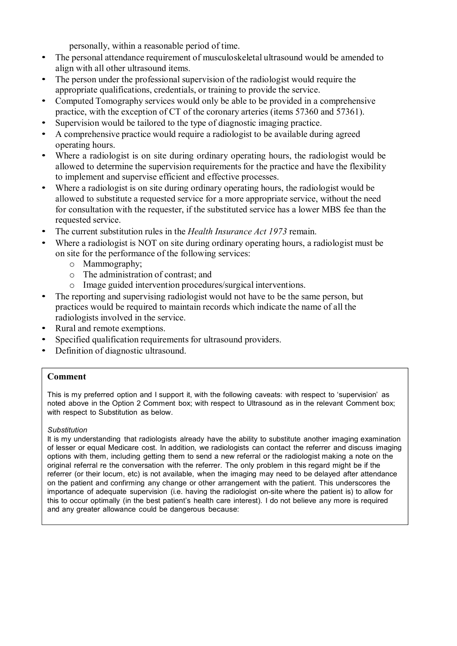personally, within a reasonable period of time.

- The personal attendance requirement of musculoskeletal ultrasound would be amended to align with all other ultrasound items.
- The person under the professional supervision of the radiologist would require the appropriate qualifications, credentials, or training to provide the service.
- Computed Tomography services would only be able to be provided in a comprehensive practice, with the exception of CT of the coronary arteries (items 57360 and 57361).
- Supervision would be tailored to the type of diagnostic imaging practice.
- A comprehensive practice would require a radiologist to be available during agreed operating hours.
- Where a radiologist is on site during ordinary operating hours, the radiologist would be allowed to determine the supervision requirements for the practice and have the flexibility to implement and supervise efficient and effective processes.
- Where a radiologist is on site during ordinary operating hours, the radiologist would be allowed to substitute a requested service for a more appropriate service, without the need for consultation with the requester, if the substituted service has a lower MBS fee than the requested service.
- The current substitution rules in the *Health Insurance Act 1973* remain.
- Where a radiologist is NOT on site during ordinary operating hours, a radiologist must be on site for the performance of the following services:
	- o Mammography;
	- o The administration of contrast; and
	- o Image guided intervention procedures/surgical interventions.
- The reporting and supervising radiologist would not have to be the same person, but practices would be required to maintain records which indicate the name of all the radiologists involved in the service.
- Rural and remote exemptions.
- Specified qualification requirements for ultrasound providers.
- Definition of diagnostic ultrasound.

# **Comment**

This is my preferred option and I support it, with the following caveats: with respect to 'supervision' as noted above in the Option 2 Comment box; with respect to Ultrasound as in the relevant Comment box; with respect to Substitution as below.

## *Substitution*

It is my understanding that radiologists already have the ability to substitute another imaging examination of lesser or equal Medicare cost. In addition, we radiologists can contact the referrer and discuss imaging options with them, including getting them to send a new referral or the radiologist making a note on the original referral re the conversation with the referrer. The only problem in this regard might be if the referrer (or their locum, etc) is not available, when the imaging may need to be delayed after attendance on the patient and confirming any change or other arrangement with the patient. This underscores the importance of adequate supervision (i.e. having the radiologist on-site where the patient is) to allow for this to occur optimally (in the best patient's health care interest). I do not believe any more is required and any greater allowance could be dangerous because: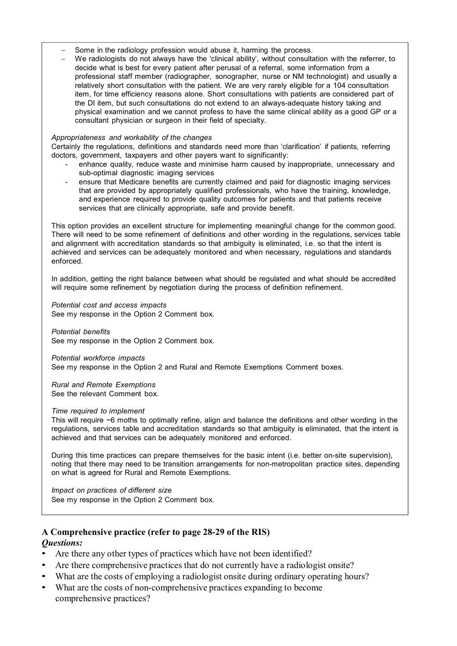- Some in the radiology profession would abuse it, harming the process.
- We radiologists do not always have the 'clinical ability', without consultation with the referrer, to decide what is best for every patient after perusal of a referral, some information from a professional staff member (radiographer, sonographer, nurse or NM technologist) and usually a relatively short consultation with the patient. We are very rarely eligible for a 104 consultation item, for time efficiency reasons alone. Short consultations with patients are considered part of the DI item, but such consultations do not extend to an always-adequate history taking and physical examination and we cannot profess to have the same clinical ability as a good GP or a consultant physician or surgeon in their field of specialty.

## *Appropriateness and workability of the changes*

Certainly the regulations, definitions and standards need more than 'clarification' if patients, referring doctors, government, taxpayers and other payers want to significantly:

- enhance quality, reduce waste and minimise harm caused by inappropriate, unnecessary and sub-optimal diagnostic imaging services
- ensure that Medicare benefits are currently claimed and paid for diagnostic imaging services that are provided by appropriately qualified professionals, who have the training, knowledge, and experience required to provide quality outcomes for patients and that patients receive services that are clinically appropriate, safe and provide benefit.

This option provides an excellent structure for implementing meaningful change for the common good. There will need to be some refinement of definitions and other wording in the regulations, services table and alignment with accreditation standards so that ambiguity is eliminated, i.e. so that the intent is achieved and services can be adequately monitored and when necessary, regulations and standards enforced.

In addition, getting the right balance between what should be regulated and what should be accredited will require some refinement by negotiation during the process of definition refinement.

*Potential cost and access impacts* See my response in the Option 2 Comment box.

*Potential benefits* See my response in the Option 2 Comment box.

*Potential workforce impacts*

See my response in the Option 2 and Rural and Remote Exemptions Comment boxes.

*Rural and Remote Exemptions* See the relevant Comment box.

## *Time required to implement*

This will require ~6 moths to optimally refine, align and balance the definitions and other wording in the regulations, services table and accreditation standards so that ambiguity is eliminated, that the intent is achieved and that services can be adequately monitored and enforced.

During this time practices can prepare themselves for the basic intent (i.e. better on-site supervision), noting that there may need to be transition arrangements for non-metropolitan practice sites, depending on what is agreed for Rural and Remote Exemptions.

*Impact on practices of different size* See my response in the Option 2 Comment box.

## **A Comprehensive practice (refer to page 28-29 of the RIS)** *Questions:*

- Are there any other types of practices which have not been identified?
- Are there comprehensive practices that do not currently have a radiologist onsite?
- What are the costs of employing a radiologist onsite during ordinary operating hours?
- What are the costs of non-comprehensive practices expanding to become comprehensive practices?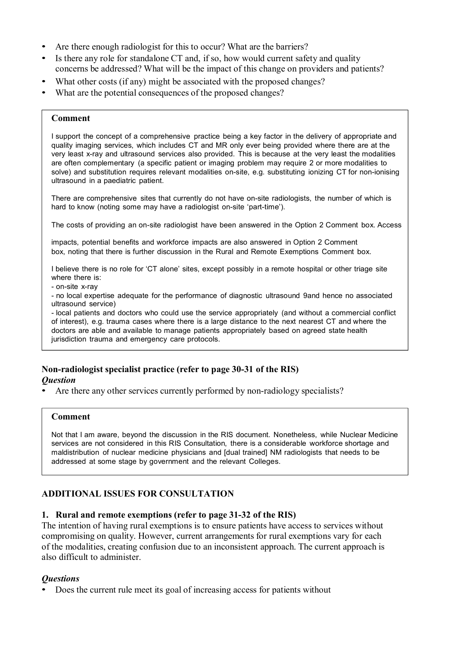- Are there enough radiologist for this to occur? What are the barriers?
- Is there any role for standalone CT and, if so, how would current safety and quality concerns be addressed? What will be the impact of this change on providers and patients?
- What other costs (if any) might be associated with the proposed changes?
- What are the potential consequences of the proposed changes?

## **Comment**

I support the concept of a comprehensive practice being a key factor in the delivery of appropriate and quality imaging services, which includes CT and MR only ever being provided where there are at the very least x-ray and ultrasound services also provided. This is because at the very least the modalities are often complementary (a specific patient or imaging problem may require 2 or more modalities to solve) and substitution requires relevant modalities on-site, e.g. substituting ionizing CT for non-ionising ultrasound in a paediatric patient.

There are comprehensive sites that currently do not have on-site radiologists, the number of which is hard to know (noting some may have a radiologist on-site 'part-time').

The costs of providing an on-site radiologist have been answered in the Option 2 Comment box. Access

impacts, potential benefits and workforce impacts are also answered in Option 2 Comment box, noting that there is further discussion in the Rural and Remote Exemptions Comment box.

I believe there is no role for 'CT alone' sites, except possibly in a remote hospital or other triage site where there is:

- on-site x-ray

- no local expertise adequate for the performance of diagnostic ultrasound 9and hence no associated ultrasound service)

- local patients and doctors who could use the service appropriately (and without a commercial conflict of interest), e.g. trauma cases where there is a large distance to the next nearest CT and where the doctors are able and available to manage patients appropriately based on agreed state health jurisdiction trauma and emergency care protocols.

# **Non-radiologist specialist practice (refer to page 30-31 of the RIS)**

# *Question*

• Are there any other services currently performed by non-radiology specialists?

## **Comment**

Not that I am aware, beyond the discussion in the RIS document. Nonetheless, while Nuclear Medicine services are not considered in this RIS Consultation, there is a considerable workforce shortage and maldistribution of nuclear medicine physicians and [dual trained] NM radiologists that needs to be addressed at some stage by government and the relevant Colleges.

# **ADDITIONAL ISSUES FOR CONSULTATION**

# **1. Rural and remote exemptions (refer to page 31-32 of the RIS)**

The intention of having rural exemptions is to ensure patients have access to services without compromising on quality. However, current arrangements for rural exemptions vary for each of the modalities, creating confusion due to an inconsistent approach. The current approach is also difficult to administer.

# *Questions*

• Does the current rule meet its goal of increasing access for patients without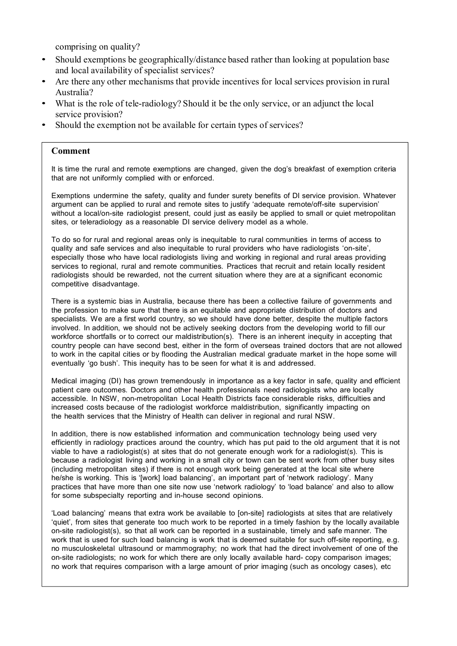comprising on quality?

- Should exemptions be geographically/distance based rather than looking at population base and local availability of specialist services?
- Are there any other mechanisms that provide incentives for local services provision in rural Australia?
- What is the role of tele-radiology? Should it be the only service, or an adjunct the local service provision?
- Should the exemption not be available for certain types of services?

## **Comment**

It is time the rural and remote exemptions are changed, given the dog's breakfast of exemption criteria that are not uniformly complied with or enforced.

Exemptions undermine the safety, quality and funder surety benefits of DI service provision. Whatever argument can be applied to rural and remote sites to justify 'adequate remote/off-site supervision' without a local/on-site radiologist present, could just as easily be applied to small or quiet metropolitan sites, or teleradiology as a reasonable DI service delivery model as a whole.

To do so for rural and regional areas only is inequitable to rural communities in terms of access to quality and safe services and also inequitable to rural providers who have radiologists 'on-site', especially those who have local radiologists living and working in regional and rural areas providing services to regional, rural and remote communities. Practices that recruit and retain locally resident radiologists should be rewarded, not the current situation where they are at a significant economic competitive disadvantage.

There is a systemic bias in Australia, because there has been a collective failure of governments and the profession to make sure that there is an equitable and appropriate distribution of doctors and specialists. We are a first world country, so we should have done better, despite the multiple factors involved. In addition, we should not be actively seeking doctors from the developing world to fill our workforce shortfalls or to correct our maldistribution(s). There is an inherent inequity in accepting that country people can have second best, either in the form of overseas trained doctors that are not allowed to work in the capital cities or by flooding the Australian medical graduate market in the hope some will eventually 'go bush'. This inequity has to be seen for what it is and addressed.

Medical imaging (DI) has grown tremendously in importance as a key factor in safe, quality and efficient patient care outcomes. Doctors and other health professionals need radiologists who are locally accessible. In NSW, non-metropolitan Local Health Districts face considerable risks, difficulties and increased costs because of the radiologist workforce maldistribution, significantly impacting on the health services that the Ministry of Health can deliver in regional and rural NSW.

In addition, there is now established information and communication technology being used very efficiently in radiology practices around the country, which has put paid to the old argument that it is not viable to have a radiologist(s) at sites that do not generate enough work for a radiologist(s). This is because a radiologist living and working in a small city or town can be sent work from other busy sites (including metropolitan sites) if there is not enough work being generated at the local site where he/she is working. This is '[work] load balancing', an important part of 'network radiology'. Many practices that have more than one site now use 'network radiology' to 'load balance' and also to allow for some subspecialty reporting and in-house second opinions.

'Load balancing' means that extra work be available to [on-site] radiologists at sites that are relatively 'quiet', from sites that generate too much work to be reported in a timely fashion by the locally available on-site radiologist(s), so that all work can be reported in a sustainable, timely and safe manner. The work that is used for such load balancing is work that is deemed suitable for such off-site reporting, e.g. no musculoskeletal ultrasound or mammography; no work that had the direct involvement of one of the on-site radiologists; no work for which there are only locally available hard- copy comparison images; no work that requires comparison with a large amount of prior imaging (such as oncology cases), etc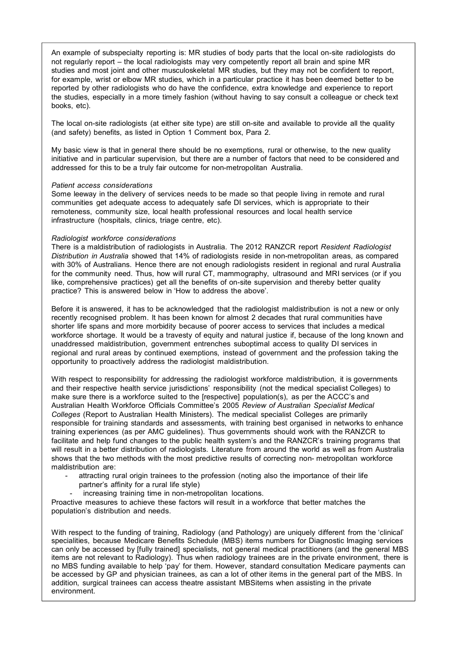An example of subspecialty reporting is: MR studies of body parts that the local on-site radiologists do not regularly report – the local radiologists may very competently report all brain and spine MR studies and most joint and other musculoskeletal MR studies, but they may not be confident to report, for example, wrist or elbow MR studies, which in a particular practice it has been deemed better to be reported by other radiologists who do have the confidence, extra knowledge and experience to report the studies, especially in a more timely fashion (without having to say consult a colleague or check text books, etc).

The local on-site radiologists (at either site type) are still on-site and available to provide all the quality (and safety) benefits, as listed in Option 1 Comment box, Para 2.

My basic view is that in general there should be no exemptions, rural or otherwise, to the new quality initiative and in particular supervision, but there are a number of factors that need to be considered and addressed for this to be a truly fair outcome for non-metropolitan Australia.

### *Patient access considerations*

Some leeway in the delivery of services needs to be made so that people living in remote and rural communities get adequate access to adequately safe DI services, which is appropriate to their remoteness, community size, local health professional resources and local health service infrastructure (hospitals, clinics, triage centre, etc).

### *Radiologist workforce considerations*

There is a maldistribution of radiologists in Australia. The 2012 RANZCR report *Resident Radiologist Distribution in Australia* showed that 14% of radiologists reside in non-metropolitan areas, as compared with 30% of Australians. Hence there are not enough radiologists resident in regional and rural Australia for the community need. Thus, how will rural CT, mammography, ultrasound and MRI services (or if you like, comprehensive practices) get all the benefits of on-site supervision and thereby better quality practice? This is answered below in 'How to address the above'.

Before it is answered, it has to be acknowledged that the radiologist maldistribution is not a new or only recently recognised problem. It has been known for almost 2 decades that rural communities have shorter life spans and more morbidity because of poorer access to services that includes a medical workforce shortage. It would be a travesty of equity and natural justice if, because of the long known and unaddressed maldistribution, government entrenches suboptimal access to quality DI services in regional and rural areas by continued exemptions, instead of government and the profession taking the opportunity to proactively address the radiologist maldistribution.

With respect to responsibility for addressing the radiologist workforce maldistribution, it is governments and their respective health service jurisdictions' responsibility (not the medical specialist Colleges) to make sure there is a workforce suited to the [respective] population(s), as per the ACCC's and Australian Health Workforce Officials Committee's 2005 *Review of Australian Specialist Medical Colleges* (Report to Australian Health Ministers). The medical specialist Colleges are primarily responsible for training standards and assessments, with training best organised in networks to enhance training experiences (as per AMC guidelines). Thus governments should work with the RANZCR to facilitate and help fund changes to the public health system's and the RANZCR's training programs that will result in a better distribution of radiologists. Literature from around the world as well as from Australia shows that the two methods with the most predictive results of correcting non- metropolitan workforce maldistribution are:

- attracting rural origin trainees to the profession (noting also the importance of their life partner's affinity for a rural life style)
- increasing training time in non-metropolitan locations.

Proactive measures to achieve these factors will result in a workforce that better matches the population's distribution and needs.

With respect to the funding of training, Radiology (and Pathology) are uniquely different from the 'clinical' specialities, because Medicare Benefits Schedule (MBS) items numbers for Diagnostic Imaging services can only be accessed by [fully trained] specialists, not general medical practitioners (and the general MBS items are not relevant to Radiology). Thus when radiology trainees are in the private environment, there is no MBS funding available to help 'pay' for them. However, standard consultation Medicare payments can be accessed by GP and physician trainees, as can a lot of other items in the general part of the MBS. In addition, surgical trainees can access theatre assistant MBSitems when assisting in the private environment.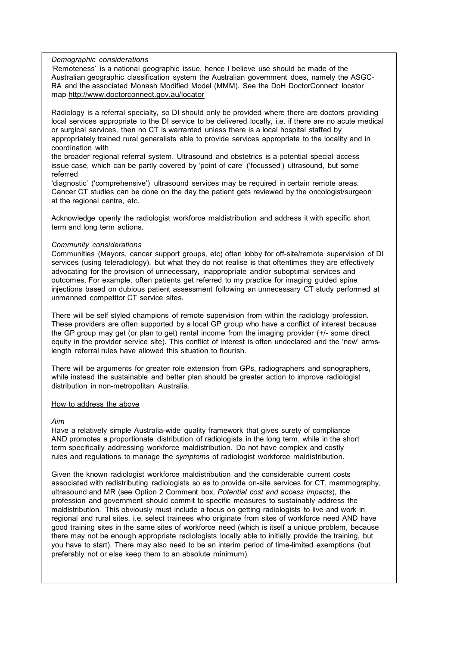### *Demographic considerations*

'Remoteness' is a national geographic issue, hence I believe use should be made of the Australian geographic classification system the Australian government does, namely the ASGC-RA and the associated Monash Modified Model (MMM). See the DoH DoctorConnect locator map http://www.doctorconnect.gov.au/locator

Radiology is a referral specialty, so DI should only be provided where there are doctors providing local services appropriate to the DI service to be delivered locally, i.e. if there are no acute medical or surgical services, then no CT is warranted unless there is a local hospital staffed by appropriately trained rural generalists able to provide services appropriate to the locality and in coordination with

the broader regional referral system. Ultrasound and obstetrics is a potential special access issue case, which can be partly covered by 'point of care' ('focussed') ultrasound, but some referred

'diagnostic' ('comprehensive') ultrasound services may be required in certain remote areas. Cancer CT studies can be done on the day the patient gets reviewed by the oncologist/surgeon at the regional centre, etc.

Acknowledge openly the radiologist workforce maldistribution and address it with specific short term and long term actions.

### *Community considerations*

Communities (Mayors, cancer support groups, etc) often lobby for off-site/remote supervision of DI services (using teleradiology), but what they do not realise is that oftentimes they are effectively advocating for the provision of unnecessary, inappropriate and/or suboptimal services and outcomes. For example, often patients get referred to my practice for imaging guided spine injections based on dubious patient assessment following an unnecessary CT study performed at unmanned competitor CT service sites.

There will be self styled champions of remote supervision from within the radiology profession. These providers are often supported by a local GP group who have a conflict of interest because the GP group may get (or plan to get) rental income from the imaging provider (+/- some direct equity in the provider service site). This conflict of interest is often undeclared and the 'new' armslength referral rules have allowed this situation to flourish.

There will be arguments for greater role extension from GPs, radiographers and sonographers, while instead the sustainable and better plan should be greater action to improve radiologist distribution in non-metropolitan Australia.

### How to address the above

### *Aim*

Have a relatively simple Australia-wide quality framework that gives surety of compliance AND promotes a proportionate distribution of radiologists in the long term, while in the short term specifically addressing workforce maldistribution. Do not have complex and costly rules and regulations to manage the *symptoms* of radiologist workforce maldistribution.

Given the known radiologist workforce maldistribution and the considerable current costs associated with redistributing radiologists so as to provide on-site services for CT, mammography, ultrasound and MR (see Option 2 Comment box, *Potential cost and access impacts*), the profession and government should commit to specific measures to sustainably address the maldistribution. This obviously must include a focus on getting radiologists to live and work in regional and rural sites, i.e. select trainees who originate from sites of workforce need AND have good training sites in the same sites of workforce need (which is itself a unique problem, because there may not be enough appropriate radiologists locally able to initially provide the training, but you have to start). There may also need to be an interim period of time-limited exemptions (but preferably not or else keep them to an absolute minimum).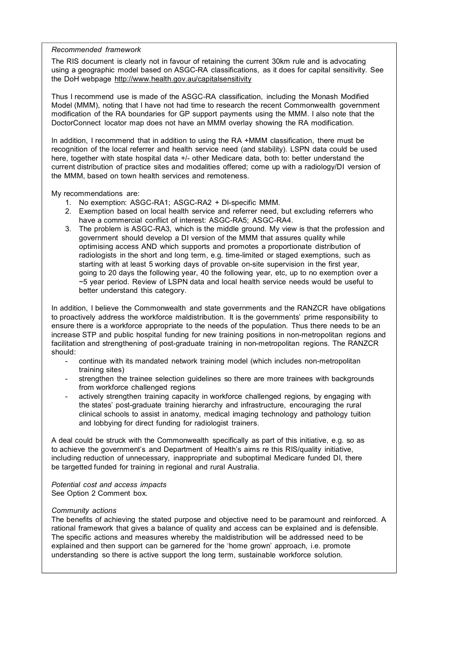### *Recommended framework*

The RIS document is clearly not in favour of retaining the current 30km rule and is advocating using a geographic model based on ASGC-RA classifications, as it does for capital sensitivity. See the DoH webpage http://www.health.gov.au/capitalsensitivity

Thus I recommend use is made of the ASGC-RA classification, including the Monash Modified Model (MMM), noting that I have not had time to research the recent Commonwealth government modification of the RA boundaries for GP support payments using the MMM. I also note that the DoctorConnect locator map does not have an MMM overlay showing the RA modification.

In addition, I recommend that in addition to using the RA +MMM classification, there must be recognition of the local referrer and health service need (and stability). LSPN data could be used here, together with state hospital data +/- other Medicare data, both to: better understand the current distribution of practice sites and modalities offered; come up with a radiology/DI version of the MMM, based on town health services and remoteness.

My recommendations are:

- 1. No exemption: ASGC-RA1; ASGC-RA2 + DI-specific MMM.
- 2. Exemption based on local health service and referrer need, but excluding referrers who have a commercial conflict of interest: ASGC-RA5; ASGC-RA4.
- 3. The problem is ASGC-RA3, which is the middle ground. My view is that the profession and government should develop a DI version of the MMM that assures quality while optimising access AND which supports and promotes a proportionate distribution of radiologists in the short and long term, e.g. time-limited or staged exemptions, such as starting with at least 5 working days of provable on-site supervision in the first year, going to 20 days the following year, 40 the following year, etc, up to no exemption over a ~5 year period. Review of LSPN data and local health service needs would be useful to better understand this category.

In addition, I believe the Commonwealth and state governments and the RANZCR have obligations to proactively address the workforce maldistribution. It is the governments' prime responsibility to ensure there is a workforce appropriate to the needs of the population. Thus there needs to be an increase STP and public hospital funding for new training positions in non-metropolitan regions and facilitation and strengthening of post-graduate training in non-metropolitan regions. The RANZCR should:

- continue with its mandated network training model (which includes non-metropolitan training sites)
- strengthen the trainee selection guidelines so there are more trainees with backgrounds from workforce challenged regions
- actively strengthen training capacity in workforce challenged regions, by engaging with the states' post-graduate training hierarchy and infrastructure, encouraging the rural clinical schools to assist in anatomy, medical imaging technology and pathology tuition and lobbying for direct funding for radiologist trainers.

A deal could be struck with the Commonwealth specifically as part of this initiative, e.g. so as to achieve the government's and Department of Health's aims re this RIS/quality initiative, including reduction of unnecessary, inappropriate and suboptimal Medicare funded DI, there be targetted funded for training in regional and rural Australia.

*Potential cost and access impacts* See Option 2 Comment box.

## *Community actions*

The benefits of achieving the stated purpose and objective need to be paramount and reinforced. A rational framework that gives a balance of quality and access can be explained and is defensible. The specific actions and measures whereby the maldistribution will be addressed need to be explained and then support can be garnered for the 'home grown' approach, i.e. promote understanding so there is active support the long term, sustainable workforce solution.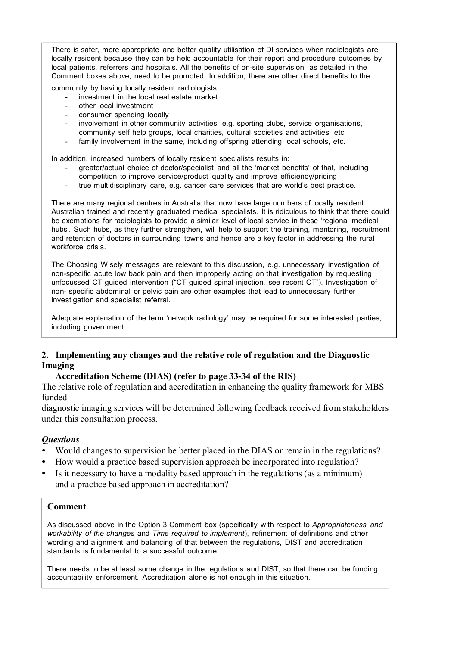There is safer, more appropriate and better quality utilisation of DI services when radiologists are locally resident because they can be held accountable for their report and procedure outcomes by local patients, referrers and hospitals. All the benefits of on-site supervision, as detailed in the Comment boxes above, need to be promoted. In addition, there are other direct benefits to the

community by having locally resident radiologists:

- investment in the local real estate market
- other local investment
- consumer spending locally
- involvement in other community activities, e.g. sporting clubs, service organisations, community self help groups, local charities, cultural societies and activities, etc
- family involvement in the same, including offspring attending local schools, etc.

In addition, increased numbers of locally resident specialists results in:

- greater/actual choice of doctor/specialist and all the 'market benefits' of that, including competition to improve service/product quality and improve efficiency/pricing
- true multidisciplinary care, e.g. cancer care services that are world's best practice.

There are many regional centres in Australia that now have large numbers of locally resident Australian trained and recently graduated medical specialists. It is ridiculous to think that there could be exemptions for radiologists to provide a similar level of local service in these 'regional medical hubs'. Such hubs, as they further strengthen, will help to support the training, mentoring, recruitment and retention of doctors in surrounding towns and hence are a key factor in addressing the rural workforce crisis.

The Choosing Wisely messages are relevant to this discussion, e.g. unnecessary investigation of non-specific acute low back pain and then improperly acting on that investigation by requesting unfocussed CT guided intervention ("CT guided spinal injection, see recent CT"). Investigation of non- specific abdominal or pelvic pain are other examples that lead to unnecessary further investigation and specialist referral.

Adequate explanation of the term 'network radiology' may be required for some interested parties, including government.

# **2. Implementing any changes and the relative role of regulation and the Diagnostic Imaging**

# **Accreditation Scheme (DIAS) (refer to page 33-34 of the RIS)**

The relative role of regulation and accreditation in enhancing the quality framework for MBS funded

diagnostic imaging services will be determined following feedback received from stakeholders under this consultation process.

# *Questions*

- Would changes to supervision be better placed in the DIAS or remain in the regulations?
- How would a practice based supervision approach be incorporated into regulation?
- Is it necessary to have a modality based approach in the regulations (as a minimum) and a practice based approach in accreditation?

# **Comment**

As discussed above in the Option 3 Comment box (specifically with respect to *Appropriateness and workability of the changes* and *Time required to implement*), refinement of definitions and other wording and alignment and balancing of that between the regulations, DIST and accreditation standards is fundamental to a successful outcome.

There needs to be at least some change in the regulations and DIST, so that there can be funding accountability enforcement. Accreditation alone is not enough in this situation.